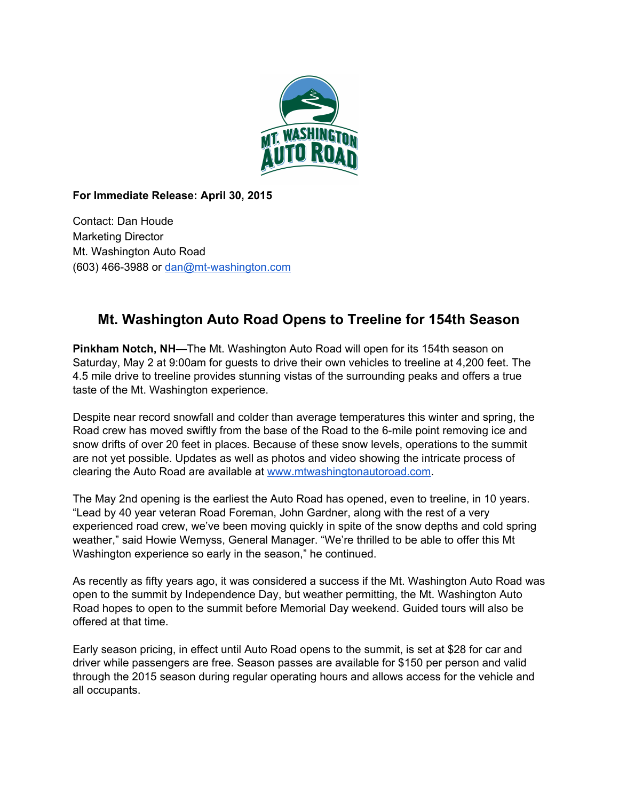

**For Immediate Release: April 30, 2015**

Contact: Dan Houde Marketing Director Mt. Washington Auto Road (603) 466-3988 or dan@mt-washington.com

## **Mt. Washington Auto Road Opens to Treeline for 154th Season**

**Pinkham Notch, NH**—The Mt. Washington Auto Road will open for its 154th season on Saturday, May 2 at 9:00am for guests to drive their own vehicles to treeline at 4,200 feet. The 4.5 mile drive to treeline provides stunning vistas of the surrounding peaks and offers a true taste of the Mt. Washington experience.

Despite near record snowfall and colder than average temperatures this winter and spring, the Road crew has moved swiftly from the base of the Road to the 6-mile point removing ice and snow drifts of over 20 feet in places. Because of these snow levels, operations to the summit are not yet possible. Updates as well as photos and video showing the intricate process of clearing the Auto Road are available at [www.mtwashingtonautoroad.com.](http://www.mtwashingtonautoroad.com/)

The May 2nd opening is the earliest the Auto Road has opened, even to treeline, in 10 years. "Lead by 40 year veteran Road Foreman, John Gardner, along with the rest of a very experienced road crew, we've been moving quickly in spite of the snow depths and cold spring weather," said Howie Wemyss, General Manager. "We're thrilled to be able to offer this Mt Washington experience so early in the season," he continued.

As recently as fifty years ago, it was considered a success if the Mt. Washington Auto Road was open to the summit by Independence Day, but weather permitting, the Mt. Washington Auto Road hopes to open to the summit before Memorial Day weekend. Guided tours will also be offered at that time.

Early season pricing, in effect until Auto Road opens to the summit, is set at \$28 for car and driver while passengers are free. Season passes are available for \$150 per person and valid through the 2015 season during regular operating hours and allows access for the vehicle and all occupants.